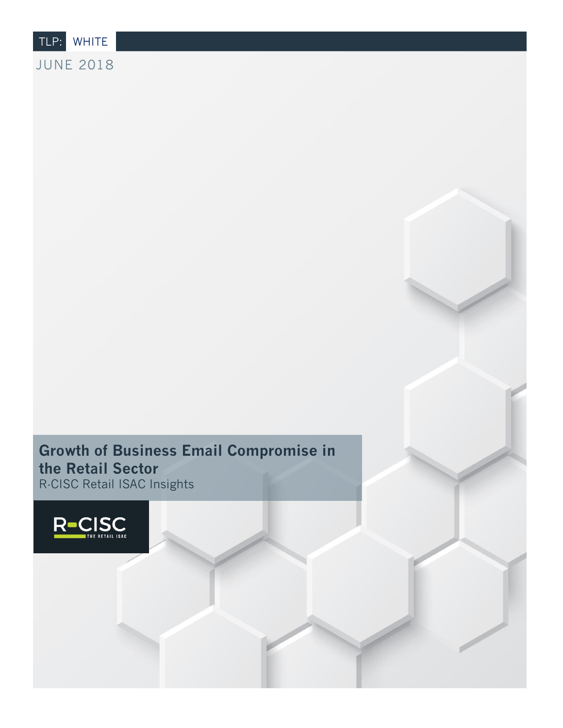TLP: WHITE

JUNE 2018

### **Growth of Business Email Compromise in the Retail Sector** R-CISC Retail ISAC Insights

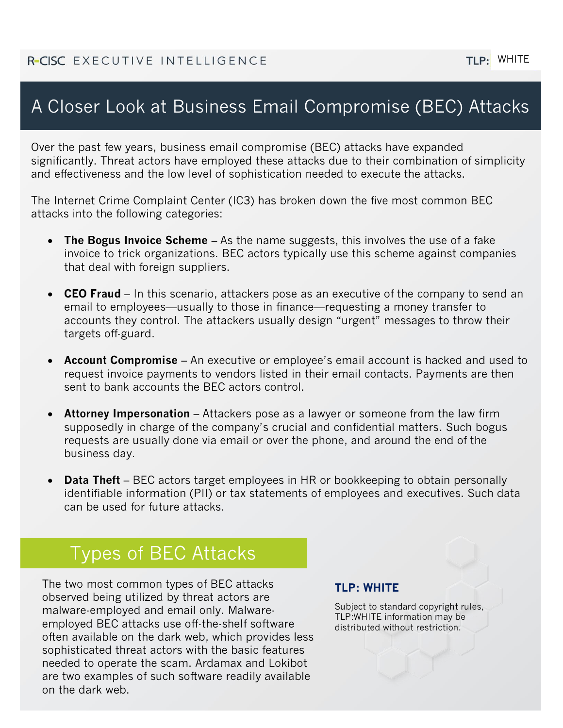#### TLP: WHITE

# A Closer Look at Business Email Compromise (BEC) Attacks

Over the past few years, business email compromise (BEC) attacks have expanded significantly. Threat actors have employed these attacks due to their combination of simplicity and effectiveness and the low level of sophistication needed to execute the attacks.

The Internet Crime Complaint Center (IC3) has broken down the five most common BEC attacks into the following categories:

- **The Bogus Invoice Scheme** As the name suggests, this involves the use of a fake invoice to trick organizations. BEC actors typically use this scheme against companies that deal with foreign suppliers.
- **CEO Fraud** In this scenario, attackers pose as an executive of the company to send an email to employees—usually to those in finance—requesting a money transfer to accounts they control. The attackers usually design "urgent" messages to throw their targets off-guard.
- **Account Compromise** An executive or employee's email account is hacked and used to request invoice payments to vendors listed in their email contacts. Payments are then sent to bank accounts the BEC actors control.
- **Attorney Impersonation** Attackers pose as a lawyer or someone from the law firm supposedly in charge of the company's crucial and confidential matters. Such bogus requests are usually done via email or over the phone, and around the end of the business day.
- **Data Theft** BEC actors target employees in HR or bookkeeping to obtain personally identifiable information (PII) or tax statements of employees and executives. Such data can be used for future attacks.

## Types of BEC Attacks

The two most common types of BEC attacks observed being utilized by threat actors are malware-employed and email only. Malwareemployed BEC attacks use off-the-shelf software often available on the dark web, which provides less sophisticated threat actors with the basic features needed to operate the scam. Ardamax and Lokibot are two examples of such software readily available on the dark web.

#### **TLP: WHITE**

Subject to standard copyright rules, TLP:WHITE information may be distributed without restriction.